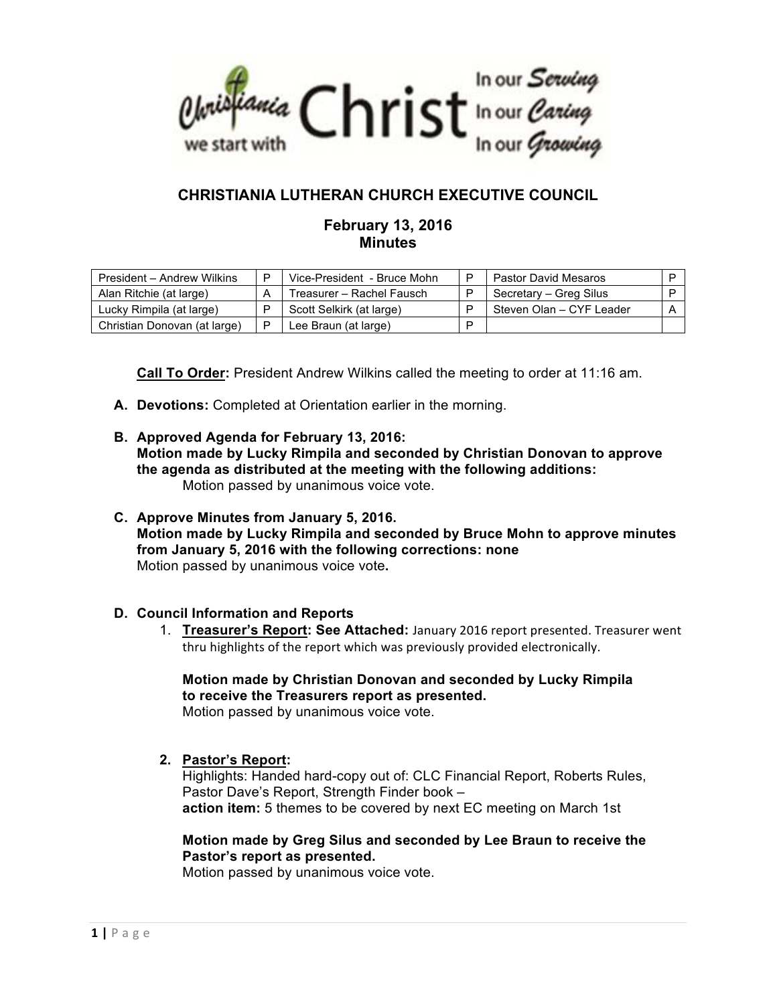

# **CHRISTIANIA LUTHERAN CHURCH EXECUTIVE COUNCIL**

# **February 13, 2016 Minutes**

| President - Andrew Wilkins   | Vice-President - Bruce Mohn | Pastor David Mesaros     |  |
|------------------------------|-----------------------------|--------------------------|--|
| Alan Ritchie (at large)      | Treasurer – Rachel Fausch   | Secretary – Greg Silus   |  |
| Lucky Rimpila (at large)     | Scott Selkirk (at large)    | Steven Olan - CYF Leader |  |
| Christian Donovan (at large) | Lee Braun (at large)        |                          |  |

**Call To Order:** President Andrew Wilkins called the meeting to order at 11:16 am.

- **A. Devotions:** Completed at Orientation earlier in the morning.
- **B. Approved Agenda for February 13, 2016: Motion made by Lucky Rimpila and seconded by Christian Donovan to approve the agenda as distributed at the meeting with the following additions:**  Motion passed by unanimous voice vote.
- **C. Approve Minutes from January 5, 2016. Motion made by Lucky Rimpila and seconded by Bruce Mohn to approve minutes from January 5, 2016 with the following corrections: none** Motion passed by unanimous voice vote**.**

#### **D. Council Information and Reports**

1. **Treasurer's Report: See Attached:** January 2016 report presented. Treasurer went thru highlights of the report which was previously provided electronically.

# **Motion made by Christian Donovan and seconded by Lucky Rimpila to receive the Treasurers report as presented.**

Motion passed by unanimous voice vote.

**2. Pastor's Report:**

Highlights: Handed hard-copy out of: CLC Financial Report, Roberts Rules, Pastor Dave's Report, Strength Finder book – **action item:** 5 themes to be covered by next EC meeting on March 1st

## **Motion made by Greg Silus and seconded by Lee Braun to receive the Pastor's report as presented.**

Motion passed by unanimous voice vote.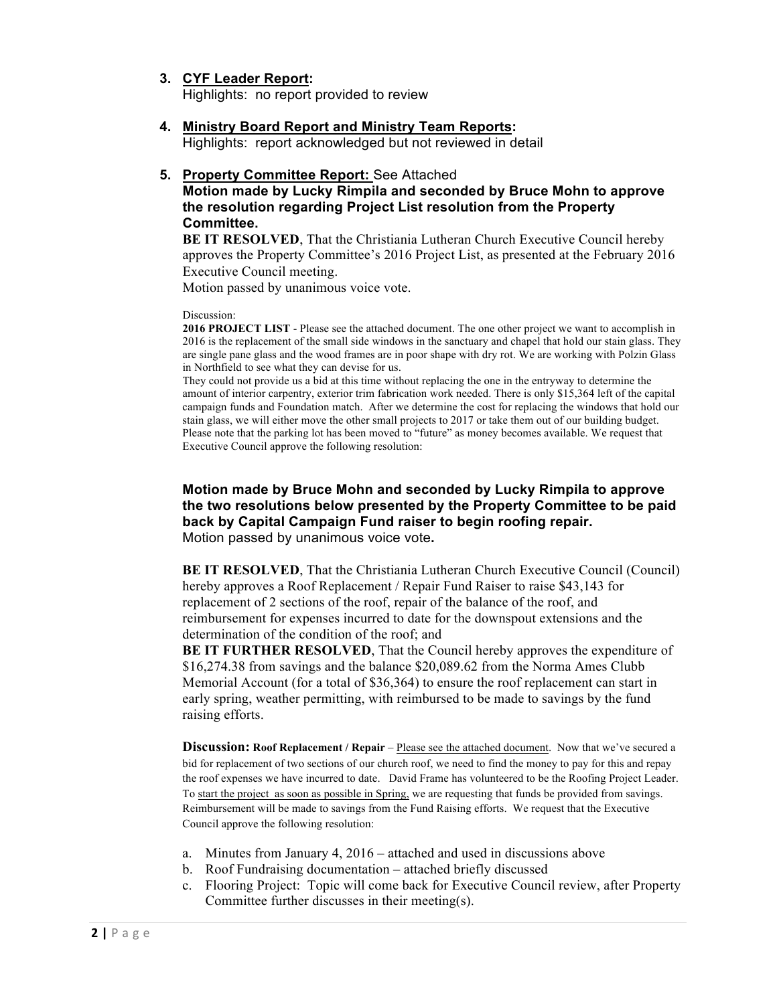- **3. CYF Leader Report:** Highlights: no report provided to review
	-
- **4. Ministry Board Report and Ministry Team Reports:** Highlights: report acknowledged but not reviewed in detail

#### **5. Property Committee Report:** See Attached

## **Motion made by Lucky Rimpila and seconded by Bruce Mohn to approve the resolution regarding Project List resolution from the Property Committee.**

**BE IT RESOLVED.** That the Christiania Lutheran Church Executive Council hereby approves the Property Committee's 2016 Project List, as presented at the February 2016 Executive Council meeting.

Motion passed by unanimous voice vote.

#### Discussion:

**2016 PROJECT LIST** - Please see the attached document. The one other project we want to accomplish in 2016 is the replacement of the small side windows in the sanctuary and chapel that hold our stain glass. They are single pane glass and the wood frames are in poor shape with dry rot. We are working with Polzin Glass in Northfield to see what they can devise for us.

They could not provide us a bid at this time without replacing the one in the entryway to determine the amount of interior carpentry, exterior trim fabrication work needed. There is only \$15,364 left of the capital campaign funds and Foundation match. After we determine the cost for replacing the windows that hold our stain glass, we will either move the other small projects to 2017 or take them out of our building budget. Please note that the parking lot has been moved to "future" as money becomes available. We request that Executive Council approve the following resolution:

### **Motion made by Bruce Mohn and seconded by Lucky Rimpila to approve the two resolutions below presented by the Property Committee to be paid back by Capital Campaign Fund raiser to begin roofing repair.** Motion passed by unanimous voice vote**.**

**BE IT RESOLVED**, That the Christiania Lutheran Church Executive Council (Council) hereby approves a Roof Replacement / Repair Fund Raiser to raise \$43,143 for replacement of 2 sections of the roof, repair of the balance of the roof, and reimbursement for expenses incurred to date for the downspout extensions and the determination of the condition of the roof; and

**BE IT FURTHER RESOLVED**, That the Council hereby approves the expenditure of \$16,274.38 from savings and the balance \$20,089.62 from the Norma Ames Clubb Memorial Account (for a total of \$36,364) to ensure the roof replacement can start in early spring, weather permitting, with reimbursed to be made to savings by the fund raising efforts.

**Discussion:** Roof Replacement / Repair – Please see the attached document. Now that we've secured a bid for replacement of two sections of our church roof, we need to find the money to pay for this and repay the roof expenses we have incurred to date. David Frame has volunteered to be the Roofing Project Leader. To start the project as soon as possible in Spring, we are requesting that funds be provided from savings. Reimbursement will be made to savings from the Fund Raising efforts. We request that the Executive Council approve the following resolution:

- a. Minutes from January 4, 2016 attached and used in discussions above
- b. Roof Fundraising documentation attached briefly discussed
- c. Flooring Project: Topic will come back for Executive Council review, after Property Committee further discusses in their meeting(s).